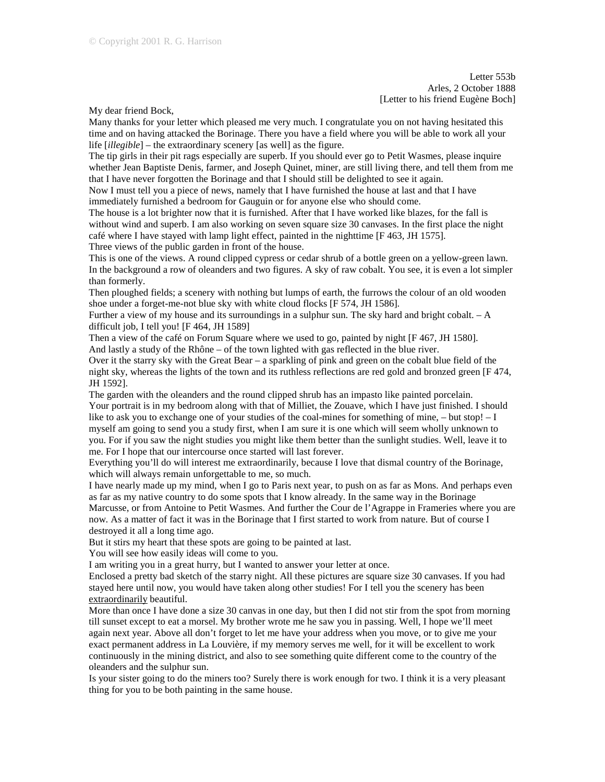Letter 553b Arles, 2 October 1888 [Letter to his friend Eugène Boch]

My dear friend Bock,

Many thanks for your letter which pleased me very much. I congratulate you on not having hesitated this time and on having attacked the Borinage. There you have a field where you will be able to work all your life [*illegible*] – the extraordinary scenery [as well] as the figure.

The tip girls in their pit rags especially are superb. If you should ever go to Petit Wasmes, please inquire whether Jean Baptiste Denis, farmer, and Joseph Quinet, miner, are still living there, and tell them from me that I have never forgotten the Borinage and that I should still be delighted to see it again.

Now I must tell you a piece of news, namely that I have furnished the house at last and that I have immediately furnished a bedroom for Gauguin or for anyone else who should come.

The house is a lot brighter now that it is furnished. After that I have worked like blazes, for the fall is without wind and superb. I am also working on seven square size 30 canvases. In the first place the night café where I have stayed with lamp light effect, painted in the nighttime [F 463, JH 1575]. Three views of the public garden in front of the house.

This is one of the views. A round clipped cypress or cedar shrub of a bottle green on a yellow-green lawn. In the background a row of oleanders and two figures. A sky of raw cobalt. You see, it is even a lot simpler than formerly.

Then ploughed fields; a scenery with nothing but lumps of earth, the furrows the colour of an old wooden shoe under a forget-me-not blue sky with white cloud flocks [F 574, JH 1586].

Further a view of my house and its surroundings in a sulphur sun. The sky hard and bright cobalt. – A difficult job, I tell you! [F 464, JH 1589]

Then a view of the café on Forum Square where we used to go, painted by night [F 467, JH 1580]. And lastly a study of the Rhône – of the town lighted with gas reflected in the blue river.

Over it the starry sky with the Great Bear – a sparkling of pink and green on the cobalt blue field of the night sky, whereas the lights of the town and its ruthless reflections are red gold and bronzed green [F 474, JH 1592].

The garden with the oleanders and the round clipped shrub has an impasto like painted porcelain. Your portrait is in my bedroom along with that of Milliet, the Zouave, which I have just finished. I should like to ask you to exchange one of your studies of the coal-mines for something of mine,  $-$  but stop!  $-1$ myself am going to send you a study first, when I am sure it is one which will seem wholly unknown to you. For if you saw the night studies you might like them better than the sunlight studies. Well, leave it to me. For I hope that our intercourse once started will last forever.

Everything you'll do will interest me extraordinarily, because I love that dismal country of the Borinage, which will always remain unforgettable to me, so much.

I have nearly made up my mind, when I go to Paris next year, to push on as far as Mons. And perhaps even as far as my native country to do some spots that I know already. In the same way in the Borinage Marcusse, or from Antoine to Petit Wasmes. And further the Cour de l'Agrappe in Frameries where you are now. As a matter of fact it was in the Borinage that I first started to work from nature. But of course I destroyed it all a long time ago.

But it stirs my heart that these spots are going to be painted at last.

You will see how easily ideas will come to you.

I am writing you in a great hurry, but I wanted to answer your letter at once.

Enclosed a pretty bad sketch of the starry night. All these pictures are square size 30 canvases. If you had stayed here until now, you would have taken along other studies! For I tell you the scenery has been extraordinarily beautiful.

More than once I have done a size 30 canvas in one day, but then I did not stir from the spot from morning till sunset except to eat a morsel. My brother wrote me he saw you in passing. Well, I hope we'll meet again next year. Above all don't forget to let me have your address when you move, or to give me your exact permanent address in La Louvière, if my memory serves me well, for it will be excellent to work continuously in the mining district, and also to see something quite different come to the country of the oleanders and the sulphur sun.

Is your sister going to do the miners too? Surely there is work enough for two. I think it is a very pleasant thing for you to be both painting in the same house.